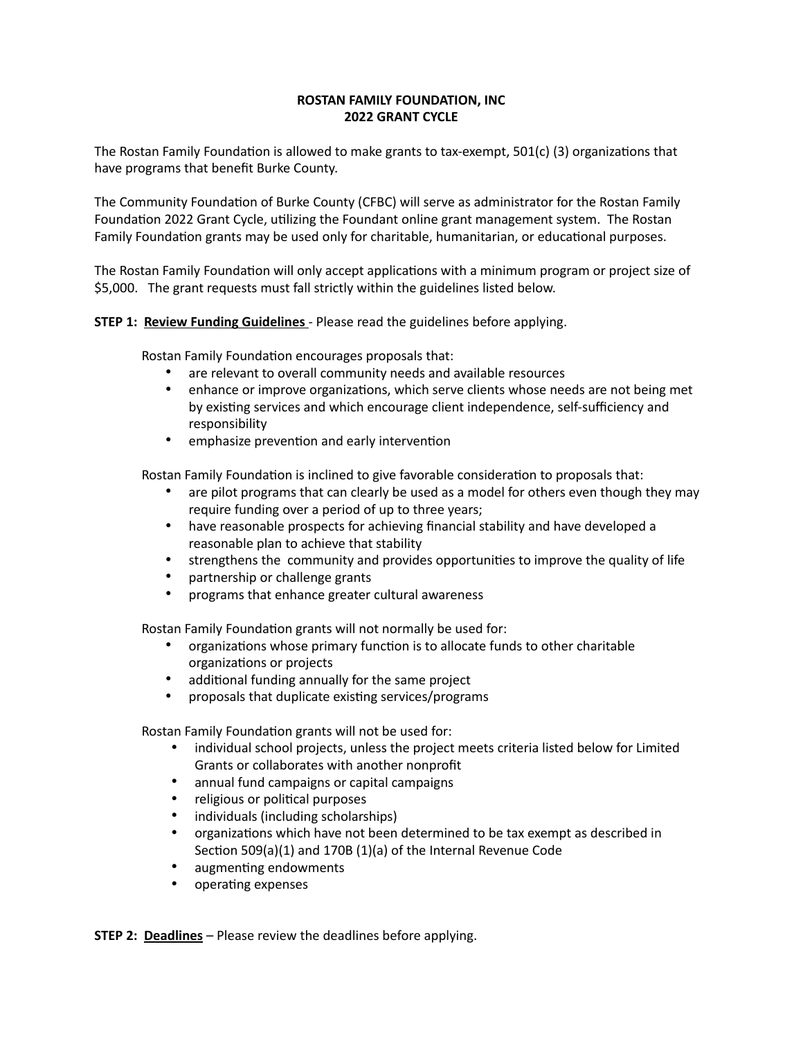## **ROSTAN FAMILY FOUNDATION, INC 2022 GRANT CYCLE**

The Rostan Family Foundation is allowed to make grants to tax-exempt, 501(c) (3) organizations that have programs that benefit Burke County.

The Community Foundation of Burke County (CFBC) will serve as administrator for the Rostan Family Foundation 2022 Grant Cycle, utilizing the Foundant online grant management system. The Rostan Family Foundation grants may be used only for charitable, humanitarian, or educational purposes.

The Rostan Family Foundation will only accept applications with a minimum program or project size of \$5,000. The grant requests must fall strictly within the guidelines listed below.

## **STEP 1: Review Funding Guidelines** - Please read the guidelines before applying.

Rostan Family Foundation encourages proposals that:

- are relevant to overall community needs and available resources
- enhance or improve organizations, which serve clients whose needs are not being met by existing services and which encourage client independence, self-sufficiency and responsibility
- emphasize prevention and early intervention

Rostan Family Foundation is inclined to give favorable consideration to proposals that:

- are pilot programs that can clearly be used as a model for others even though they may require funding over a period of up to three years;
- have reasonable prospects for achieving financial stability and have developed a reasonable plan to achieve that stability
- strengthens the community and provides opportunities to improve the quality of life<br>• nartnershin or challenge grants
- partnership or challenge grants
- programs that enhance greater cultural awareness

Rostan Family Foundation grants will not normally be used for:

- organizations whose primary function is to allocate funds to other charitable organizations or projects
- additional funding annually for the same project
- proposals that duplicate existing services/programs

Rostan Family Foundation grants will not be used for:

- individual school projects, unless the project meets criteria listed below for Limited Grants or collaborates with another nonprofit
- annual fund campaigns or capital campaigns
- religious or political purposes
- individuals (including scholarships)
- organizations which have not been determined to be tax exempt as described in Section 509(a)(1) and 170B (1)(a) of the Internal Revenue Code
- augmenting endowments
- operating expenses

**STEP 2: Deadlines** – Please review the deadlines before applying.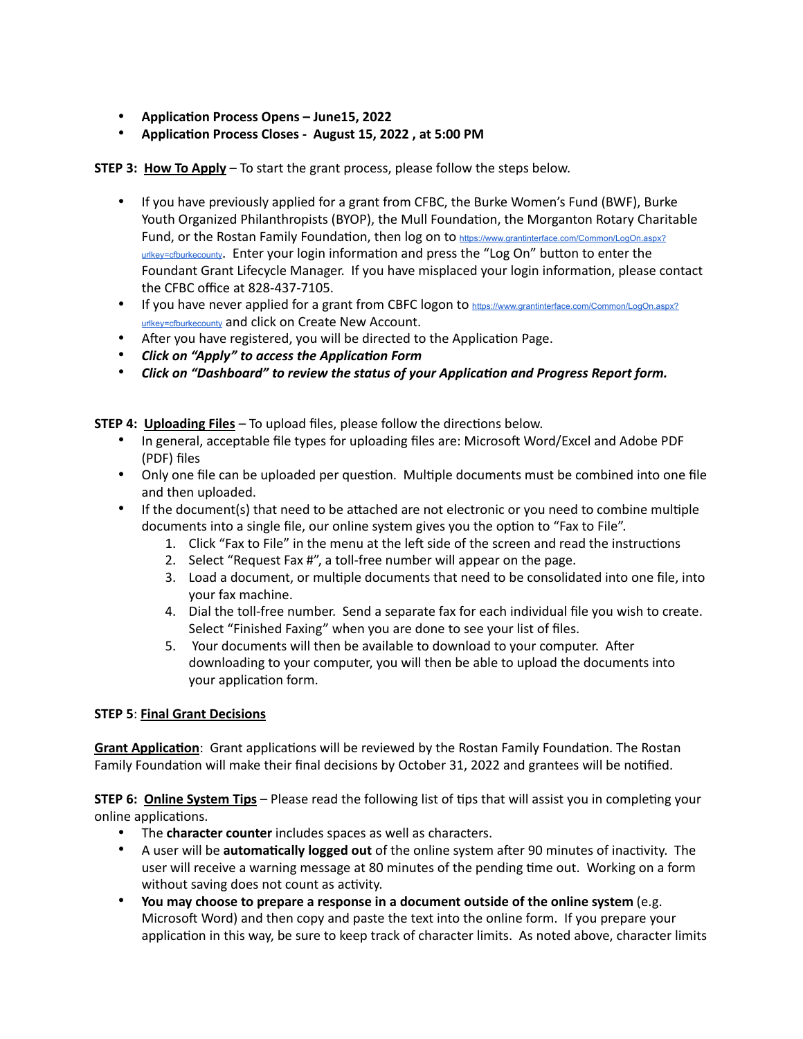- **Application Process Opens June15, 2022**
- **Application Process Closes August 15, 2022 , at 5:00 PM**

## **STEP 3: How To Apply** – To start the grant process, please follow the steps below.

- If you have previously applied for a grant from CFBC, the Burke Women's Fund (BWF), Burke Youth Organized Philanthropists (BYOP), the Mull Foundation, the Morganton Rotary Charitable Fund, or the Rostan Family Foundation, then log on to [https://www.grantinterface.com/Common/LogOn.aspx?](https://www.grantinterface.com/Common/LogOn.aspx?urlkey=cfburkecounty) [urlkey=cfburkecounty](https://www.grantinterface.com/Common/LogOn.aspx?urlkey=cfburkecounty). Enter your login information and press the "Log On" button to enter the Foundant Grant Lifecycle Manager. If you have misplaced your login information, please contact the CFBC office at 828-437-7105.
- If you have never applied for a grant from CBFC logon to [https://www.grantinterface.com/Common/LogOn.aspx?](https://www.grantinterface.com/Common/LogOn.aspx?urlkey=cfburkecounty) [urlkey=cfburkecounty](https://www.grantinterface.com/Common/LogOn.aspx?urlkey=cfburkecounty) and click on Create New Account.
- After you have registered, you will be directed to the Application Page.
- *Click on "Apply" to access the Application Form*
- *Click on "Dashboard" to review the status of your Application and Progress Report form.*

**STEP 4: Uploading Files** – To upload files, please follow the directions below.

- In general, acceptable file types for uploading files are: Microsoft Word/Excel and Adobe PDF (PDF) files
- Only one file can be uploaded per question. Multiple documents must be combined into one file and then uploaded.
- If the document(s) that need to be attached are not electronic or you need to combine multiple documents into a single file, our online system gives you the option to "Fax to File".
	- 1. Click "Fax to File" in the menu at the left side of the screen and read the instructions
	- 2. Select "Request Fax #", a toll-free number will appear on the page.
	- 3. Load a document, or multiple documents that need to be consolidated into one file, into your fax machine.
	- 4. Dial the toll-free number. Send a separate fax for each individual file you wish to create. Select "Finished Faxing" when you are done to see your list of files.
	- 5. Your documents will then be available to download to your computer. After downloading to your computer, you will then be able to upload the documents into your application form.

## **STEP 5**: **Final Grant Decisions**

**Grant Application**: Grant applications will be reviewed by the Rostan Family Foundation. The Rostan Family Foundation will make their final decisions by October 31, 2022 and grantees will be notified.

**STEP 6: Online System Tips** – Please read the following list of tips that will assist you in completing your online applications.

- The **character counter** includes spaces as well as characters.
- A user will be **automatically logged out** of the online system after 90 minutes of inactivity. The user will receive a warning message at 80 minutes of the pending time out. Working on a form without saving does not count as activity.
- **You may choose to prepare a response in a document outside of the online system** (e.g. Microsoft Word) and then copy and paste the text into the online form. If you prepare your application in this way, be sure to keep track of character limits. As noted above, character limits